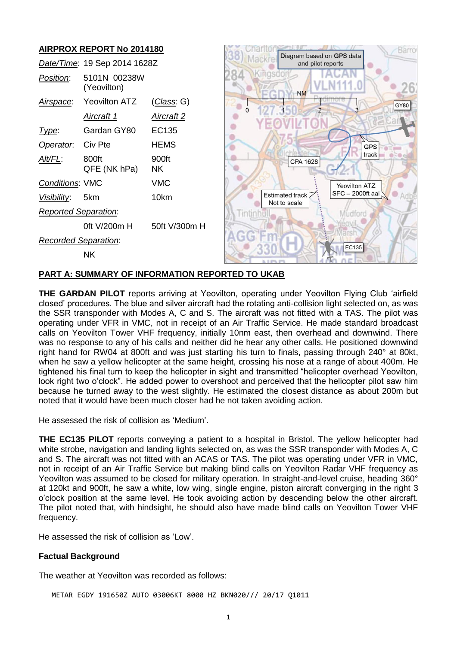# **AIRPROX REPORT No 2014180**



### **PART A: SUMMARY OF INFORMATION REPORTED TO UKAB**

**THE GARDAN PILOT** reports arriving at Yeovilton, operating under Yeovilton Flying Club 'airfield closed' procedures. The blue and silver aircraft had the rotating anti-collision light selected on, as was the SSR transponder with Modes A, C and S. The aircraft was not fitted with a TAS. The pilot was operating under VFR in VMC, not in receipt of an Air Traffic Service. He made standard broadcast calls on Yeovilton Tower VHF frequency, initially 10nm east, then overhead and downwind. There was no response to any of his calls and neither did he hear any other calls. He positioned downwind right hand for RW04 at 800ft and was just starting his turn to finals, passing through 240° at 80kt, when he saw a yellow helicopter at the same height, crossing his nose at a range of about 400m. He tightened his final turn to keep the helicopter in sight and transmitted "helicopter overhead Yeovilton, look right two o'clock". He added power to overshoot and perceived that the helicopter pilot saw him because he turned away to the west slightly. He estimated the closest distance as about 200m but noted that it would have been much closer had he not taken avoiding action.

He assessed the risk of collision as 'Medium'.

**THE EC135 PILOT** reports conveying a patient to a hospital in Bristol. The yellow helicopter had white strobe, navigation and landing lights selected on, as was the SSR transponder with Modes A, C and S. The aircraft was not fitted with an ACAS or TAS. The pilot was operating under VFR in VMC, not in receipt of an Air Traffic Service but making blind calls on Yeovilton Radar VHF frequency as Yeovilton was assumed to be closed for military operation. In straight-and-level cruise, heading 360° at 120kt and 900ft, he saw a white, low wing, single engine, piston aircraft converging in the right 3 o'clock position at the same level. He took avoiding action by descending below the other aircraft. The pilot noted that, with hindsight, he should also have made blind calls on Yeovilton Tower VHF frequency.

He assessed the risk of collision as 'Low'.

#### **Factual Background**

The weather at Yeovilton was recorded as follows:

METAR EGDY 191650Z AUTO 03006KT 8000 HZ BKN020/// 20/17 Q1011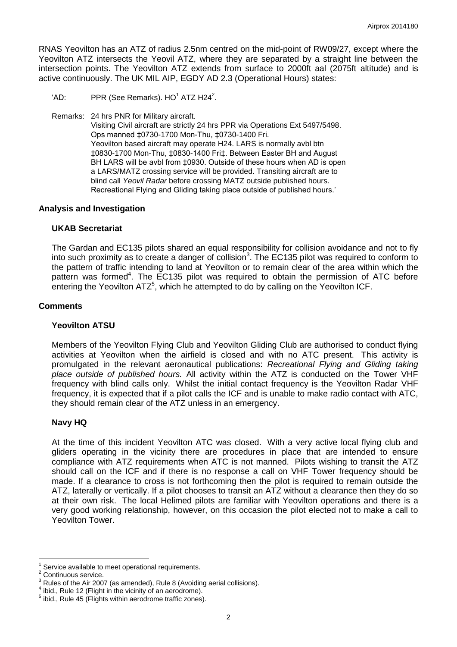RNAS Yeovilton has an ATZ of radius 2.5nm centred on the mid-point of RW09/27, except where the Yeovilton ATZ intersects the Yeovil ATZ, where they are separated by a straight line between the intersection points. The Yeovilton ATZ extends from surface to 2000ft aal (2075ft altitude) and is active continuously. The UK MIL AIP, EGDY AD 2.3 (Operational Hours) states:

- 'AD: PPR (See Remarks).  $HO^1$  ATZ H24<sup>2</sup>.
- Remarks: 24 hrs PNR for Military aircraft.

Visiting Civil aircraft are strictly 24 hrs PPR via Operations Ext 5497/5498. Ops manned ‡0730-1700 Mon-Thu, ‡0730-1400 Fri. Yeovilton based aircraft may operate H24. LARS is normally avbl btn ‡0830-1700 Mon-Thu, ‡0830-1400 Fri‡. Between Easter BH and August BH LARS will be avbl from ‡0930. Outside of these hours when AD is open a LARS/MATZ crossing service will be provided. Transiting aircraft are to blind call *Yeovil Radar* before crossing MATZ outside published hours. Recreational Flying and Gliding taking place outside of published hours.'

### **Analysis and Investigation**

### **UKAB Secretariat**

The Gardan and EC135 pilots shared an equal responsibility for collision avoidance and not to fly into such proximity as to create a danger of collision<sup>3</sup>. The EC135 pilot was required to conform to the pattern of traffic intending to land at Yeovilton or to remain clear of the area within which the pattern was formed<sup>4</sup>. The EC135 pilot was required to obtain the permission of ATC before entering the Yeovilton  $ATZ<sup>5</sup>$ , which he attempted to do by calling on the Yeovilton ICF.

### **Comments**

# **Yeovilton ATSU**

Members of the Yeovilton Flying Club and Yeovilton Gliding Club are authorised to conduct flying activities at Yeovilton when the airfield is closed and with no ATC present. This activity is promulgated in the relevant aeronautical publications: *Recreational Flying and Gliding taking place outside of published hours.* All activity within the ATZ is conducted on the Tower VHF frequency with blind calls only. Whilst the initial contact frequency is the Yeovilton Radar VHF frequency, it is expected that if a pilot calls the ICF and is unable to make radio contact with ATC, they should remain clear of the ATZ unless in an emergency.

# **Navy HQ**

At the time of this incident Yeovilton ATC was closed. With a very active local flying club and gliders operating in the vicinity there are procedures in place that are intended to ensure compliance with ATZ requirements when ATC is not manned. Pilots wishing to transit the ATZ should call on the ICF and if there is no response a call on VHF Tower frequency should be made. If a clearance to cross is not forthcoming then the pilot is required to remain outside the ATZ, laterally or vertically. If a pilot chooses to transit an ATZ without a clearance then they do so at their own risk. The local Helimed pilots are familiar with Yeovilton operations and there is a very good working relationship, however, on this occasion the pilot elected not to make a call to Yeovilton Tower.

 $\overline{\phantom{a}}$ 

<sup>1</sup> Service available to meet operational requirements.

<sup>2</sup> Continuous service.

<sup>3</sup> Rules of the Air 2007 (as amended), Rule 8 (Avoiding aerial collisions).

 $4$  ibid., Rule 12 (Flight in the vicinity of an aerodrome).

<sup>&</sup>lt;sup>5</sup> ibid., Rule 45 (Flights within aerodrome traffic zones).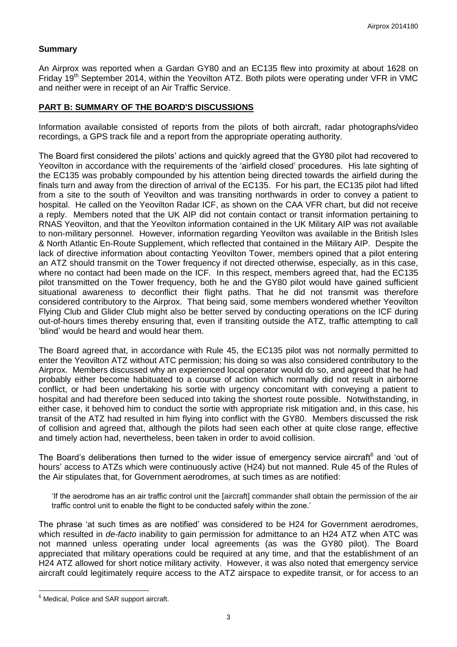## **Summary**

An Airprox was reported when a Gardan GY80 and an EC135 flew into proximity at about 1628 on Friday 19<sup>th</sup> September 2014, within the Yeovilton ATZ. Both pilots were operating under VFR in VMC and neither were in receipt of an Air Traffic Service.

## **PART B: SUMMARY OF THE BOARD'S DISCUSSIONS**

Information available consisted of reports from the pilots of both aircraft, radar photographs/video recordings, a GPS track file and a report from the appropriate operating authority.

The Board first considered the pilots' actions and quickly agreed that the GY80 pilot had recovered to Yeovilton in accordance with the requirements of the 'airfield closed' procedures. His late sighting of the EC135 was probably compounded by his attention being directed towards the airfield during the finals turn and away from the direction of arrival of the EC135. For his part, the EC135 pilot had lifted from a site to the south of Yeovilton and was transiting northwards in order to convey a patient to hospital. He called on the Yeovilton Radar ICF, as shown on the CAA VFR chart, but did not receive a reply. Members noted that the UK AIP did not contain contact or transit information pertaining to RNAS Yeovilton, and that the Yeovilton information contained in the UK Military AIP was not available to non-military personnel. However, information regarding Yeovilton was available in the British Isles & North Atlantic En-Route Supplement, which reflected that contained in the Military AIP. Despite the lack of directive information about contacting Yeovilton Tower, members opined that a pilot entering an ATZ should transmit on the Tower frequency if not directed otherwise, especially, as in this case, where no contact had been made on the ICF. In this respect, members agreed that, had the EC135 pilot transmitted on the Tower frequency, both he and the GY80 pilot would have gained sufficient situational awareness to deconflict their flight paths. That he did not transmit was therefore considered contributory to the Airprox. That being said, some members wondered whether Yeovilton Flying Club and Glider Club might also be better served by conducting operations on the ICF during out-of-hours times thereby ensuring that, even if transiting outside the ATZ, traffic attempting to call 'blind' would be heard and would hear them.

The Board agreed that, in accordance with Rule 45, the EC135 pilot was not normally permitted to enter the Yeovilton ATZ without ATC permission; his doing so was also considered contributory to the Airprox. Members discussed why an experienced local operator would do so, and agreed that he had probably either become habituated to a course of action which normally did not result in airborne conflict, or had been undertaking his sortie with urgency concomitant with conveying a patient to hospital and had therefore been seduced into taking the shortest route possible. Notwithstanding, in either case, it behoved him to conduct the sortie with appropriate risk mitigation and, in this case, his transit of the ATZ had resulted in him flying into conflict with the GY80. Members discussed the risk of collision and agreed that, although the pilots had seen each other at quite close range, effective and timely action had, nevertheless, been taken in order to avoid collision.

The Board's deliberations then turned to the wider issue of emergency service aircraft<sup>6</sup> and 'out of hours' access to ATZs which were continuously active (H24) but not manned. Rule 45 of the Rules of the Air stipulates that, for Government aerodromes, at such times as are notified:

'If the aerodrome has an air traffic control unit the [aircraft] commander shall obtain the permission of the air traffic control unit to enable the flight to be conducted safely within the zone.'

The phrase 'at such times as are notified' was considered to be H24 for Government aerodromes, which resulted in *de-facto* inability to gain permission for admittance to an H24 ATZ when ATC was not manned unless operating under local agreements (as was the GY80 pilot). The Board appreciated that military operations could be required at any time, and that the establishment of an H24 ATZ allowed for short notice military activity. However, it was also noted that emergency service aircraft could legitimately require access to the ATZ airspace to expedite transit, or for access to an

 $\overline{a}$ 

<sup>&</sup>lt;sup>6</sup> Medical, Police and SAR support aircraft.